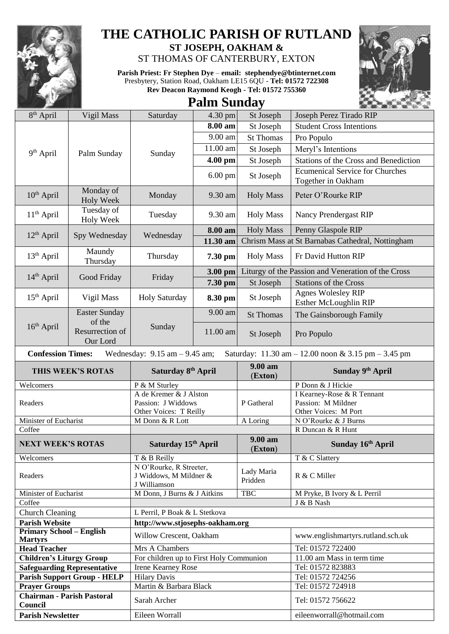

## **THE CATHOLIC PARISH OF RUTLAND**

**ST JOSEPH, OAKHAM &**  ST THOMAS OF CANTERBURY, EXTON

**Parish Priest: Fr Stephen Dye** – **[email: stephendye@btinternet.com](mailto:email:%20%20stephendye@btinternet.com)** Presbytery, Station Road, Oakham LE15 6QU - **Tel: 01572 722308 Rev Deacon Raymond Keogh - Tel: 01572 755360**



## **Palm Sunday**

| 8 <sup>th</sup> April                        | Vigil Mass                                                                                                           | Saturday                                                               | $4.30$ pm | St Joseph             | Joseph Perez Tirado RIP                                                  |  |  |  |
|----------------------------------------------|----------------------------------------------------------------------------------------------------------------------|------------------------------------------------------------------------|-----------|-----------------------|--------------------------------------------------------------------------|--|--|--|
|                                              | Palm Sunday                                                                                                          | Sunday                                                                 | 8.00 am   | St Joseph             | <b>Student Cross Intentions</b>                                          |  |  |  |
|                                              |                                                                                                                      |                                                                        | 9.00 am   | <b>St Thomas</b>      | Pro Populo                                                               |  |  |  |
| 9 <sup>th</sup> April                        |                                                                                                                      |                                                                        | 11.00 am  | St Joseph             | Meryl's Intentions                                                       |  |  |  |
|                                              |                                                                                                                      |                                                                        | 4.00 pm   | St Joseph             | <b>Stations of the Cross and Benediction</b>                             |  |  |  |
|                                              |                                                                                                                      |                                                                        | $6.00$ pm | St Joseph             | <b>Ecumenical Service for Churches</b><br>Together in Oakham             |  |  |  |
| 10 <sup>th</sup> April                       | Monday of<br><b>Holy Week</b>                                                                                        | Monday                                                                 | 9.30 am   | <b>Holy Mass</b>      | Peter O'Rourke RIP                                                       |  |  |  |
| $11th$ April                                 | Tuesday of<br><b>Holy Week</b>                                                                                       | Tuesday                                                                | 9.30 am   | <b>Holy Mass</b>      | <b>Nancy Prendergast RIP</b>                                             |  |  |  |
| $12th$ April                                 | Spy Wednesday                                                                                                        | Wednesday                                                              | 8.00 am   | <b>Holy Mass</b>      | Penny Glaspole RIP                                                       |  |  |  |
|                                              |                                                                                                                      |                                                                        | 11.30 am  |                       | Chrism Mass at St Barnabas Cathedral, Nottingham                         |  |  |  |
| $13th$ April                                 | Maundy<br>Thursday                                                                                                   | Thursday                                                               | 7.30 pm   | <b>Holy Mass</b>      | Fr David Hutton RIP                                                      |  |  |  |
| $14th$ April                                 | Good Friday                                                                                                          | Friday                                                                 | 3.00 pm   |                       | Liturgy of the Passion and Veneration of the Cross                       |  |  |  |
|                                              |                                                                                                                      |                                                                        | 7.30 pm   | St Joseph             | <b>Stations of the Cross</b>                                             |  |  |  |
| $15th$ April                                 | Vigil Mass                                                                                                           | <b>Holy Saturday</b>                                                   | 8.30 pm   | St Joseph             | <b>Agnes Wolesley RIP</b><br>Esther McLoughlin RIP                       |  |  |  |
|                                              | <b>Easter Sunday</b>                                                                                                 |                                                                        | 9.00 am   | <b>St Thomas</b>      | The Gainsborough Family                                                  |  |  |  |
| $16th$ April                                 | of the<br>Resurrection of<br>Our Lord                                                                                | Sunday                                                                 | 11.00 am  | St Joseph             | Pro Populo                                                               |  |  |  |
|                                              | <b>Confession Times:</b><br>Wednesday: $9.15$ am $- 9.45$ am;<br>Saturday: 11.30 am - 12.00 noon & 3.15 pm - 3.45 pm |                                                                        |           |                       |                                                                          |  |  |  |
| THIS WEEK'S ROTAS                            |                                                                                                                      | Saturday 8 <sup>th</sup> April                                         |           |                       |                                                                          |  |  |  |
|                                              |                                                                                                                      |                                                                        |           | 9.00 am<br>(Exton)    | Sunday 9th April                                                         |  |  |  |
| Welcomers                                    |                                                                                                                      | P & M Sturley                                                          |           |                       | P Donn & J Hickie                                                        |  |  |  |
| Readers                                      |                                                                                                                      | A de Kremer & J Alston<br>Passion: J Widdows<br>Other Voices: T Reilly |           | P Gatheral            | I Kearney-Rose & R Tennant<br>Passion: M Mildner<br>Other Voices: M Port |  |  |  |
| Minister of Eucharist                        |                                                                                                                      | M Donn & R Lott                                                        |           | A Loring              | N O'Rourke & J Burns                                                     |  |  |  |
| Coffee                                       |                                                                                                                      |                                                                        |           |                       | R Duncan & R Hunt                                                        |  |  |  |
| <b>NEXT WEEK'S ROTAS</b>                     |                                                                                                                      | Saturday 15 <sup>th</sup> April                                        |           | 9.00 am<br>(Exton)    | Sunday 16th April                                                        |  |  |  |
| Welcomers                                    |                                                                                                                      | T & B Reilly                                                           |           |                       | T & C Slattery                                                           |  |  |  |
| Readers                                      |                                                                                                                      | N O'Rourke, R Streeter,<br>J Widdows, M Mildner &<br>J Williamson      |           | Lady Maria<br>Pridden | R & C Miller                                                             |  |  |  |
| Minister of Eucharist                        |                                                                                                                      | M Donn, J Burns & J Aitkins                                            |           | <b>TBC</b>            | M Pryke, B Ivory & L Perril                                              |  |  |  |
| Coffee                                       |                                                                                                                      |                                                                        |           |                       | J & B Nash                                                               |  |  |  |
| <b>Church Cleaning</b>                       |                                                                                                                      | L Perril, P Boak & L Stetkova                                          |           |                       |                                                                          |  |  |  |
| <b>Parish Website</b>                        |                                                                                                                      | http://www.stjosephs-oakham.org                                        |           |                       |                                                                          |  |  |  |
| <b>Primary School - English</b>              |                                                                                                                      | Willow Crescent, Oakham                                                |           |                       | www.englishmartyrs.rutland.sch.uk                                        |  |  |  |
| <b>Martyrs</b><br><b>Head Teacher</b>        |                                                                                                                      | Mrs A Chambers                                                         |           |                       | Tel: 01572 722400                                                        |  |  |  |
| <b>Children's Liturgy Group</b>              |                                                                                                                      | For children up to First Holy Communion                                |           |                       | 11.00 am Mass in term time                                               |  |  |  |
|                                              | <b>Safeguarding Representative</b>                                                                                   | <b>Irene Kearney Rose</b>                                              |           |                       | Tel: 01572 823883                                                        |  |  |  |
|                                              | <b>Parish Support Group - HELP</b>                                                                                   | <b>Hilary Davis</b>                                                    |           |                       | Tel: 01572 724256                                                        |  |  |  |
| <b>Prayer Groups</b>                         |                                                                                                                      | Martin & Barbara Black                                                 |           |                       | Tel: 01572 724918                                                        |  |  |  |
| <b>Chairman - Parish Pastoral</b><br>Council |                                                                                                                      | Sarah Archer                                                           |           |                       | Tel: 01572 756622                                                        |  |  |  |